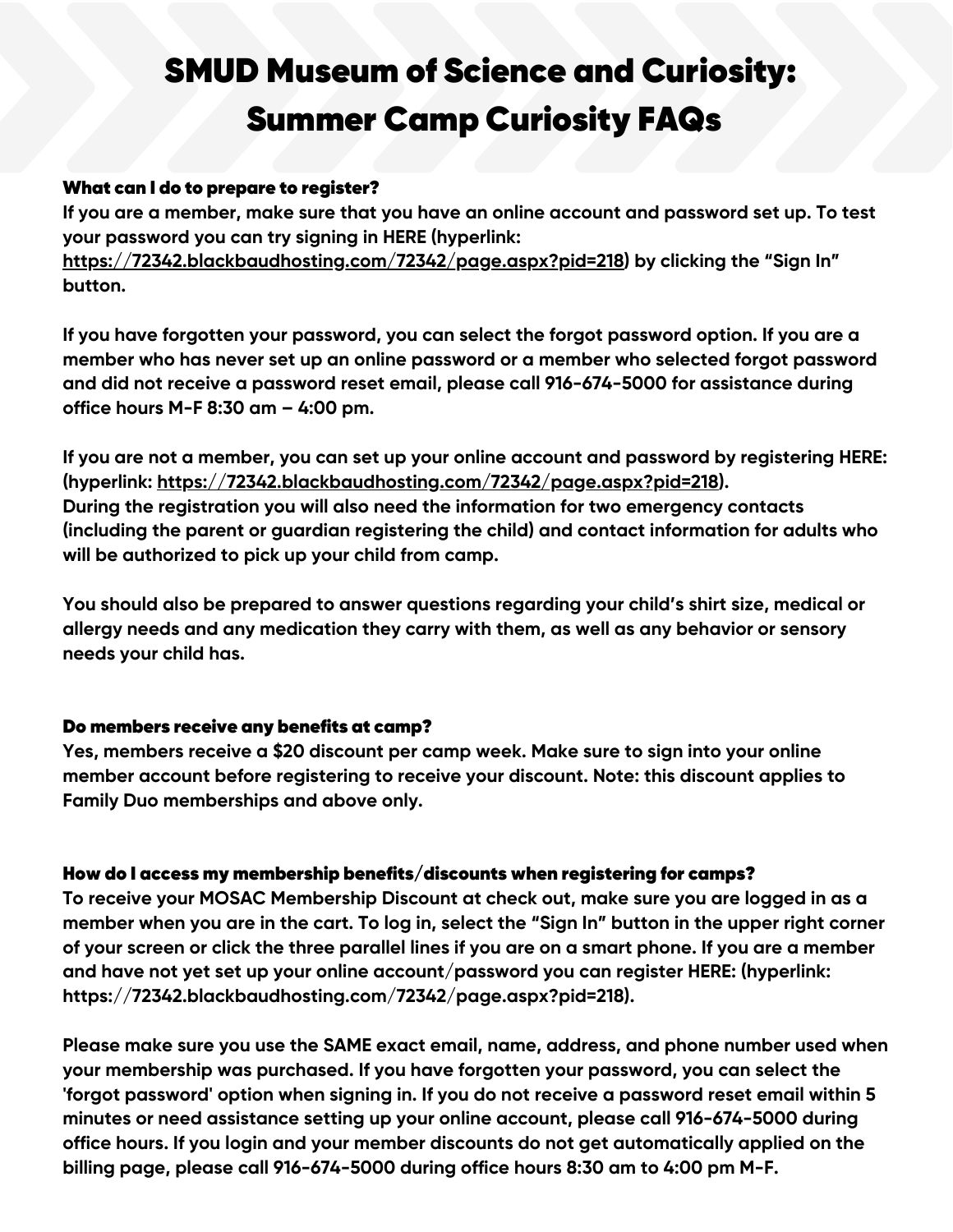## What can I do to prepare to register?

**If you are a member, make sure that you have an online account and password set up. To test your password you can try signing in HERE (hyperlink:**

**<https://72342.blackbaudhosting.com/72342/page.aspx?pid=218>) by clicking the "Sign In" button.**

**If you have forgotten your password, you can select the forgot password option. If you are a member who has never set up an online password or a member who selected forgot password and did not receive a password reset email, please call 916-674-5000 for assistance during office hours M-F 8:30 am – 4:00 pm.**

**If you are not a member, you can set up your online account and password by registering HERE: (hyperlink: [https://72342.blackbaudhosting.com/72342/page.aspx?pid=218\)](https://72342.blackbaudhosting.com/72342/page.aspx?pid=218). During the registration you will also need the information for two emergency contacts (including the parent or guardian registering the child) and contact information for adults who will be authorized to pick up your child from camp.**

**You should also be prepared to answer questions regarding your child's shirt size, medical or allergy needs and any medication they carry with them, as well as any behavior or sensory needs your child has.**

# Do members receive any benefits at camp?

**Yes, members receive a \$20 discount per camp week. Make sure to sign into your online member account before registering to receive your discount. Note: this discount applies to Family Duo memberships and above only.**

# How do I access my membership benefits/discounts when registering for camps?

**To receive your MOSAC Membership Discount at check out, make sure you are logged in as a** member when you are in the cart. To log in, select the "Sign In" button in the upper right corner of your screen or click the three parallel lines if you are on a smart phone. If you are a member **and have not yet set up your online account/password you can register HERE: (hyperlink: https://72342.blackbaudhosting.com/72342/page.aspx?pid=218).**

**Please make sure you use the SAME exact email, name, address, and phone number used when your membership was purchased. If you have forgotten your password, you can select the 'forgot password' option when signing in. If you do not receive a password reset email within 5 minutes or need assistance setting up your online account, please call 916-674-5000 during office hours. If you login and your member discounts do not get automatically applied on the billing page, please call 916-674-5000 during office hours 8:30 am to 4:00 pm M-F.**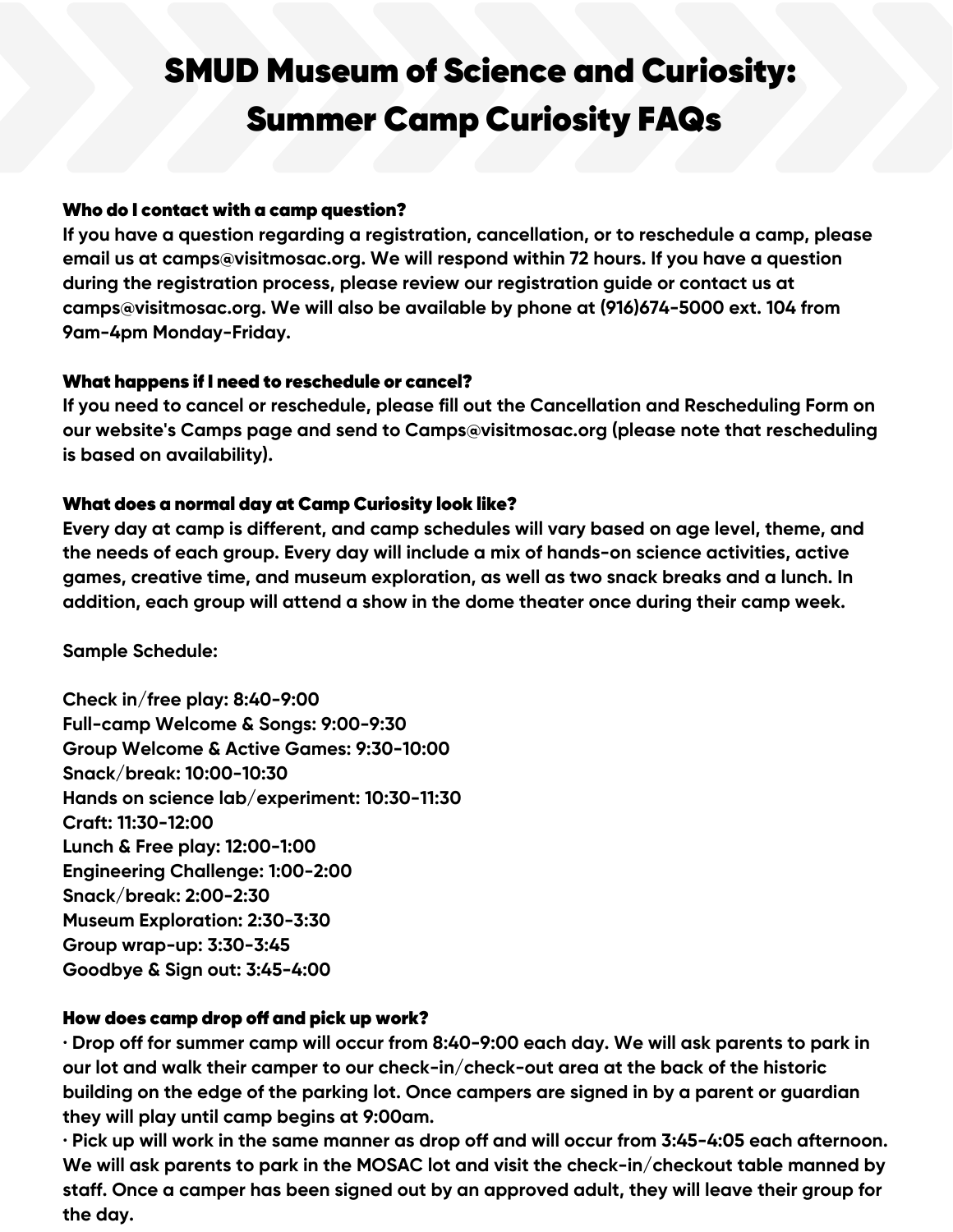### Who do I contact with a camp question?

**If you have a question regarding a registration, cancellation, or to reschedule a camp, please email us at camps@visitmosac.org. We will respond within 72 hours. If you have a question during the registration process, please review our registration guide or contact us at camps@visitmosac.org. We will also be available by phone at (916)674-5000 ext. 104 from 9am-4pm Monday-Friday.**

## What happens if I need to reschedule or cancel?

**If you need to cancel or reschedule, please fill out the Cancellation and Rescheduling Form on our website's Camps page and send to Camps@visitmosac.org (please note that rescheduling is based on availability).**

## What does a normal day at Camp Curiosity look like?

**Every day at camp is different, and camp schedules will vary based on age level, theme, and the needs of each group. Every day will include a mix of hands-on science activities, active games, creative time, and museum exploration, as well as two snack breaks and a lunch. In addition, each group will attend a show in the dome theater once during their camp week.**

**Sample Schedule:**

**Check in/free play: 8:40-9:00 Full-camp Welcome & Songs: 9:00-9:30 Group Welcome & Active Games: 9:30-10:00 Snack/break: 10:00-10:30 Hands on science lab/experiment: 10:30-11:30 Craft: 11:30-12:00 Lunch & Free play: 12:00-1:00 Engineering Challenge: 1:00-2:00 Snack/break: 2:00-2:30 Museum Exploration: 2:30-3:30 Group wrap-up: 3:30-3:45 Goodbye & Sign out: 3:45-4:00**

# How does camp drop off and pick up work?

· Drop off for summer camp will occur from 8:40-9:00 each day. We will ask parents to park in **our lot and walk their camper to our check-in/check-out area at the back of the historic building on the edge of the parking lot. Once campers are signed in by a parent or guardian they will play until camp begins at 9:00am.**

 $\cdot$  Pick up will work in the same manner as drop off and will occur from 3:45-4:05 each afternoon. **We will ask parents to park in the MOSAC lot and visit the check-in/checkout table manned by staff. Once a camper has been signed out by an approved adult, they will leave their group for the day.**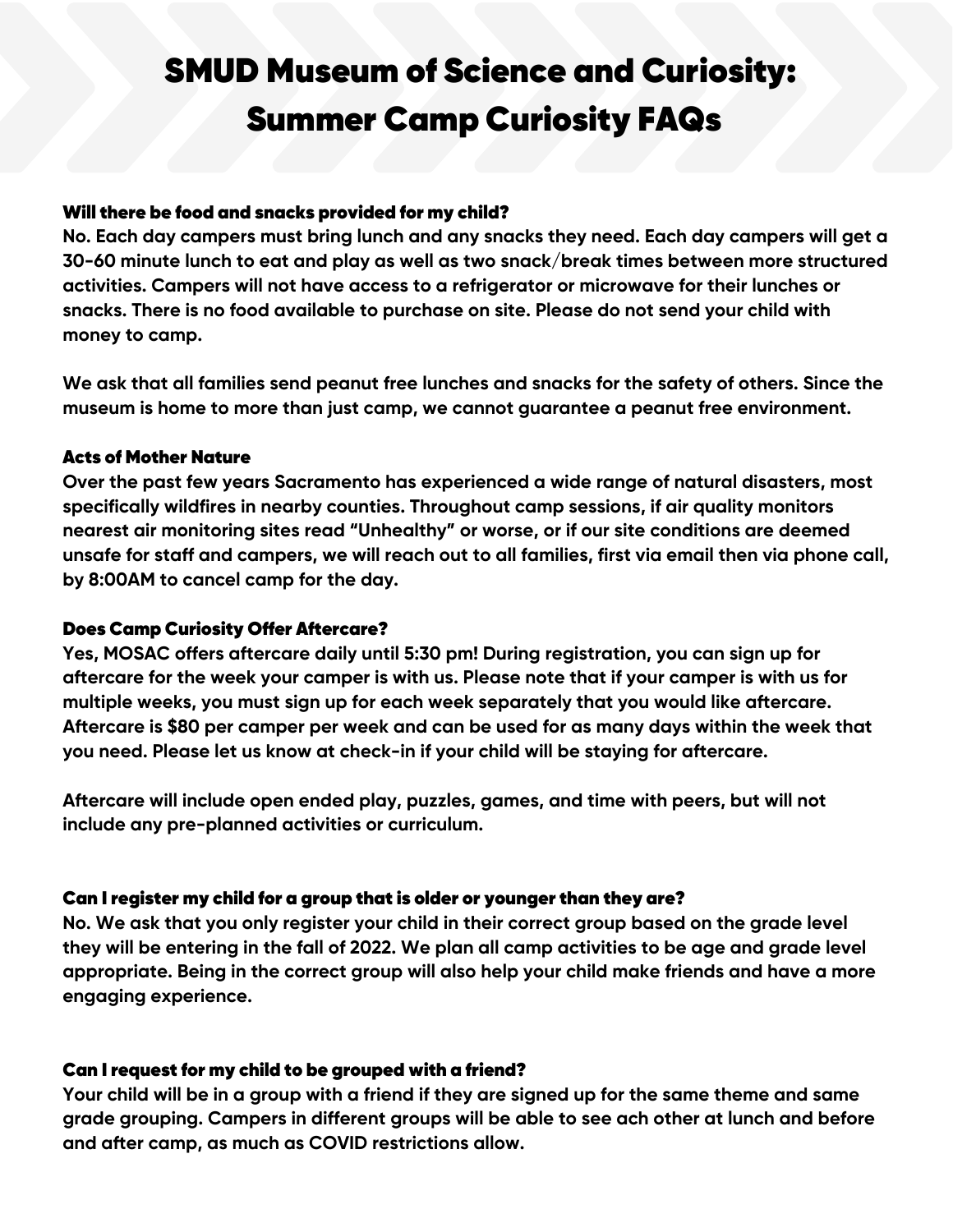#### Will there be food and snacks provided for my child?

**No. Each day campers must bring lunch and any snacks they need. Each day campers will get a 30-60 minute lunch to eat and play as well as two snack/break times between more structured activities. Campers will not have access to a refrigerator or microwave for their lunches or snacks. There is no food available to purchase on site. Please do not send your child with money to camp.**

**We ask that all families send peanut free lunches and snacks for the safety of others. Since the museum is home to more than just camp, we cannot guarantee a peanut free environment.**

#### Acts of Mother Nature

**Over the past few years Sacramento has experienced a wide range of natural disasters, most specifically wildfires in nearby counties. Throughout camp sessions, if air quality monitors nearest air monitoring sites read "Unhealthy" or worse, or if our site conditions are deemed** unsafe for staff and campers, we will reach out to all families, first via email then via phone call, **by 8:00AM to cancel camp for the day.**

## Does Camp Curiosity Offer Aftercare?

**Yes, MOSAC offers aftercare daily until 5:30 pm! During registration, you can sign up for** aftercare for the week your camper is with us. Please note that if your camper is with us for **multiple weeks, you must sign up for each week separately that you would like aftercare. Aftercare is \$80 per camper per week and can be used for as many days within the week that you need. Please let us know at check-in if your child will be staying for aftercare.**

**Aftercare will include open ended play, puzzles, games, and time with peers, but will not include any pre-planned activities or curriculum.**

## Can I register my child for a group that is older or younger than they are?

**No. We ask that you only register your child in their correct group based on the grade level** they will be entering in the fall of 2022. We plan all camp activities to be age and grade level **appropriate. Being in the correct group will also help your child make friends and have a more engaging experience.**

## Can I request for my child to be grouped with a friend?

Your child will be in a group with a friend if they are signed up for the same theme and same **grade grouping. Campers in different groups will be able to see ach other at lunch and before and after camp, as much as COVID restrictions allow.**